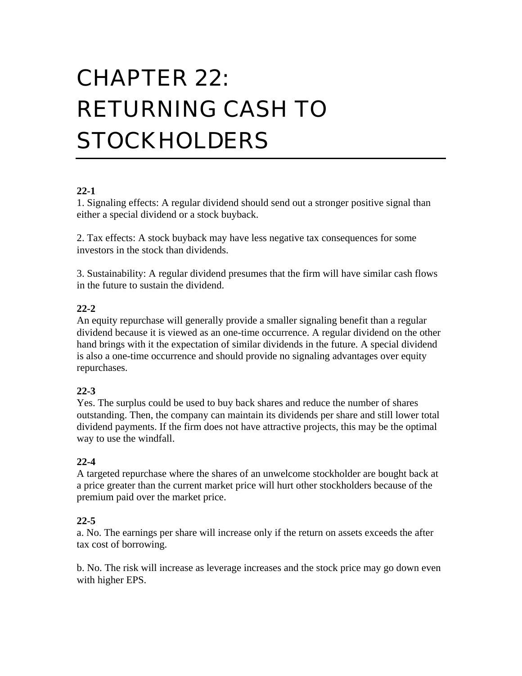# CHAPTER 22: RETURNING CASH TO **STOCKHOLDERS**

## **22-1**

1. Signaling effects: A regular dividend should send out a stronger positive signal than either a special dividend or a stock buyback.

2. Tax effects: A stock buyback may have less negative tax consequences for some investors in the stock than dividends.

3. Sustainability: A regular dividend presumes that the firm will have similar cash flows in the future to sustain the dividend.

## **22-2**

An equity repurchase will generally provide a smaller signaling benefit than a regular dividend because it is viewed as an one-time occurrence. A regular dividend on the other hand brings with it the expectation of similar dividends in the future. A special dividend is also a one-time occurrence and should provide no signaling advantages over equity repurchases.

## **22-3**

Yes. The surplus could be used to buy back shares and reduce the number of shares outstanding. Then, the company can maintain its dividends per share and still lower total dividend payments. If the firm does not have attractive projects, this may be the optimal way to use the windfall.

## **22-4**

A targeted repurchase where the shares of an unwelcome stockholder are bought back at a price greater than the current market price will hurt other stockholders because of the premium paid over the market price.

## **22-5**

a. No. The earnings per share will increase only if the return on assets exceeds the after tax cost of borrowing.

b. No. The risk will increase as leverage increases and the stock price may go down even with higher EPS.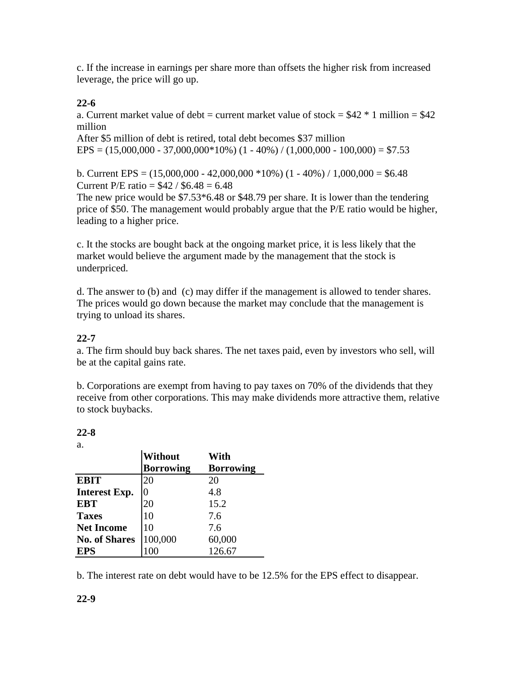c. If the increase in earnings per share more than offsets the higher risk from increased leverage, the price will go up.

## **22-6**

a. Current market value of debt = current market value of stock =  $$42 * 1$  million =  $$42$ million

After \$5 million of debt is retired, total debt becomes \$37 million  $EPS = (15,000,000 - 37,000,000 * 10%) (1 - 40%) / (1,000,000 - 100,000) = $7.53$ 

b. Current EPS =  $(15,000,000 - 42,000,000 * 10%) (1 - 40%) / 1,000,000 = $6.48$ Current P/E ratio =  $$42 / $6.48 = 6.48$ 

The new price would be \$7.53\*6.48 or \$48.79 per share. It is lower than the tendering price of \$50. The management would probably argue that the P/E ratio would be higher, leading to a higher price.

c. It the stocks are bought back at the ongoing market price, it is less likely that the market would believe the argument made by the management that the stock is underpriced.

d. The answer to (b) and (c) may differ if the management is allowed to tender shares. The prices would go down because the market may conclude that the management is trying to unload its shares.

## **22-7**

a. The firm should buy back shares. The net taxes paid, even by investors who sell, will be at the capital gains rate.

b. Corporations are exempt from having to pay taxes on 70% of the dividends that they receive from other corporations. This may make dividends more attractive them, relative to stock buybacks.

## **22-8**

a.

|                      | Without          | With             |
|----------------------|------------------|------------------|
|                      | <b>Borrowing</b> | <b>Borrowing</b> |
| <b>EBIT</b>          | 20               | 20               |
| <b>Interest Exp.</b> |                  | 4.8              |
| <b>EBT</b>           | 20               | 15.2             |
| <b>Taxes</b>         | 10               | 7.6              |
| <b>Net Income</b>    | 10               | 7.6              |
| <b>No. of Shares</b> | 100,000          | 60,000           |
| <b>EPS</b>           |                  | 126.67           |

b. The interest rate on debt would have to be 12.5% for the EPS effect to disappear.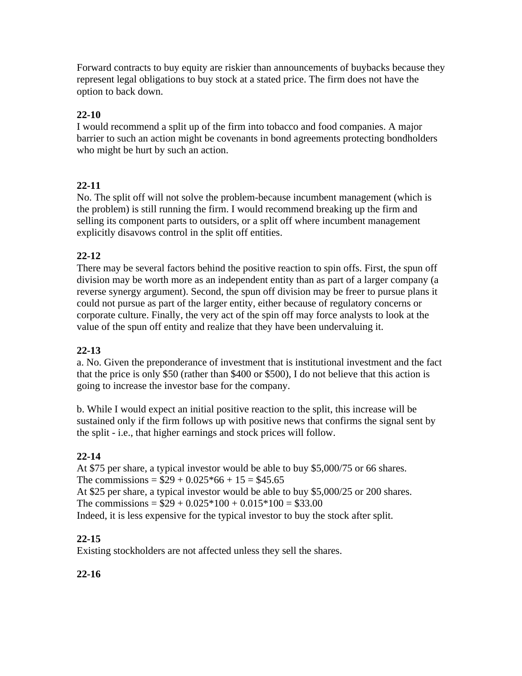Forward contracts to buy equity are riskier than announcements of buybacks because they represent legal obligations to buy stock at a stated price. The firm does not have the option to back down.

## **22-10**

I would recommend a split up of the firm into tobacco and food companies. A major barrier to such an action might be covenants in bond agreements protecting bondholders who might be hurt by such an action.

# **22-11**

No. The split off will not solve the problem-because incumbent management (which is the problem) is still running the firm. I would recommend breaking up the firm and selling its component parts to outsiders, or a split off where incumbent management explicitly disavows control in the split off entities.

# **22-12**

There may be several factors behind the positive reaction to spin offs. First, the spun off division may be worth more as an independent entity than as part of a larger company (a reverse synergy argument). Second, the spun off division may be freer to pursue plans it could not pursue as part of the larger entity, either because of regulatory concerns or corporate culture. Finally, the very act of the spin off may force analysts to look at the value of the spun off entity and realize that they have been undervaluing it.

## **22-13**

a. No. Given the preponderance of investment that is institutional investment and the fact that the price is only \$50 (rather than \$400 or \$500), I do not believe that this action is going to increase the investor base for the company.

b. While I would expect an initial positive reaction to the split, this increase will be sustained only if the firm follows up with positive news that confirms the signal sent by the split - i.e., that higher earnings and stock prices will follow.

## **22-14**

At \$75 per share, a typical investor would be able to buy \$5,000/75 or 66 shares. The commissions =  $$29 + 0.025*66 + 15 = $45.65$ At \$25 per share, a typical investor would be able to buy \$5,000/25 or 200 shares. The commissions =  $$29 + 0.025*100 + 0.015*100 = $33.00$ Indeed, it is less expensive for the typical investor to buy the stock after split.

## **22-15**

Existing stockholders are not affected unless they sell the shares.

## **22-16**